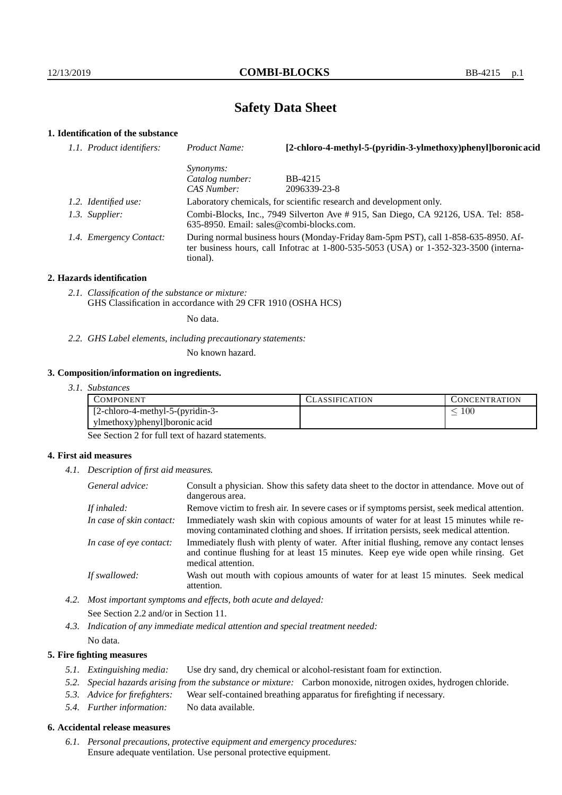# **Safety Data Sheet**

# **1. Identification of the substance**

| 1.1. Product identifiers: | Product Name:                                                                                                                                                                               | [2-chloro-4-methyl-5-(pyridin-3-ylmethoxy)phenyl]boronic acid |  |
|---------------------------|---------------------------------------------------------------------------------------------------------------------------------------------------------------------------------------------|---------------------------------------------------------------|--|
|                           | <i>Synonyms:</i>                                                                                                                                                                            |                                                               |  |
|                           | Catalog number:                                                                                                                                                                             | BB-4215                                                       |  |
|                           | CAS Number:                                                                                                                                                                                 | 2096339-23-8                                                  |  |
| 1.2. Identified use:      | Laboratory chemicals, for scientific research and development only.                                                                                                                         |                                                               |  |
| 1.3. Supplier:            | Combi-Blocks, Inc., 7949 Silverton Ave # 915, San Diego, CA 92126, USA. Tel: 858-<br>$635-8950$ . Email: sales@combi-blocks.com.                                                            |                                                               |  |
| 1.4. Emergency Contact:   | During normal business hours (Monday-Friday 8am-5pm PST), call 1-858-635-8950. Af-<br>ter business hours, call Infotrac at $1-800-535-5053$ (USA) or $1-352-323-3500$ (interna-<br>tional). |                                                               |  |

#### **2. Hazards identification**

*2.1. Classification of the substance or mixture:* GHS Classification in accordance with 29 CFR 1910 (OSHA HCS)

No data.

### *2.2. GHS Label elements, including precautionary statements:*

No known hazard.

#### **3. Composition/information on ingredients.**

| 3.1. Substances |
|-----------------|
|                 |

| COMPONENT.                                | LASSIFICATION | CONCENTRATION. |
|-------------------------------------------|---------------|----------------|
| $[2\text{-chloro-4-methyl-5-(pyridin-3-}$ |               | 100            |
| ylmethoxy) phenyl boronic acid            |               |                |

See Section 2 for full text of hazard statements.

### **4. First aid measures**

*4.1. Description of first aid measures.*

| General advice:          | Consult a physician. Show this safety data sheet to the doctor in attendance. Move out of<br>dangerous area.                                                                                            |
|--------------------------|---------------------------------------------------------------------------------------------------------------------------------------------------------------------------------------------------------|
| If inhaled:              | Remove victim to fresh air. In severe cases or if symptoms persist, seek medical attention.                                                                                                             |
| In case of skin contact: | Immediately wash skin with copious amounts of water for at least 15 minutes while re-<br>moving contaminated clothing and shoes. If irritation persists, seek medical attention.                        |
| In case of eye contact:  | Immediately flush with plenty of water. After initial flushing, remove any contact lenses<br>and continue flushing for at least 15 minutes. Keep eye wide open while rinsing. Get<br>medical attention. |
| If swallowed:            | Wash out mouth with copious amounts of water for at least 15 minutes. Seek medical<br>attention.                                                                                                        |

*4.2. Most important symptoms and effects, both acute and delayed:* See Section 2.2 and/or in Section 11.

*4.3. Indication of any immediate medical attention and special treatment needed:* No data.

### **5. Fire fighting measures**

- *5.1. Extinguishing media:* Use dry sand, dry chemical or alcohol-resistant foam for extinction.
- *5.2. Special hazards arising from the substance or mixture:* Carbon monoxide, nitrogen oxides, hydrogen chloride.
- *5.3. Advice for firefighters:* Wear self-contained breathing apparatus for firefighting if necessary.
- *5.4. Further information:* No data available.

### **6. Accidental release measures**

*6.1. Personal precautions, protective equipment and emergency procedures:* Ensure adequate ventilation. Use personal protective equipment.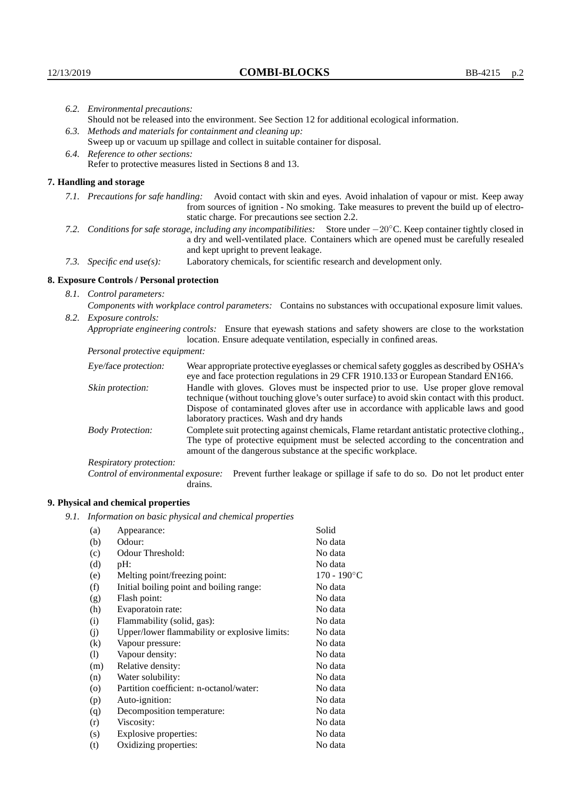|                           | 6.2. Environmental precautions:                                                                                                                                                                                                                                    |                                                                                                                                                                                    |  |  |  |
|---------------------------|--------------------------------------------------------------------------------------------------------------------------------------------------------------------------------------------------------------------------------------------------------------------|------------------------------------------------------------------------------------------------------------------------------------------------------------------------------------|--|--|--|
|                           | Should not be released into the environment. See Section 12 for additional ecological information.                                                                                                                                                                 |                                                                                                                                                                                    |  |  |  |
|                           | 6.3. Methods and materials for containment and cleaning up:                                                                                                                                                                                                        |                                                                                                                                                                                    |  |  |  |
|                           | Sweep up or vacuum up spillage and collect in suitable container for disposal.                                                                                                                                                                                     |                                                                                                                                                                                    |  |  |  |
|                           | 6.4. Reference to other sections:                                                                                                                                                                                                                                  |                                                                                                                                                                                    |  |  |  |
|                           |                                                                                                                                                                                                                                                                    | Refer to protective measures listed in Sections 8 and 13.                                                                                                                          |  |  |  |
|                           | 7. Handling and storage                                                                                                                                                                                                                                            |                                                                                                                                                                                    |  |  |  |
|                           | 7.1. Precautions for safe handling: Avoid contact with skin and eyes. Avoid inhalation of vapour or mist. Keep away<br>from sources of ignition - No smoking. Take measures to prevent the build up of electro-<br>static charge. For precautions see section 2.2. |                                                                                                                                                                                    |  |  |  |
| 7.2.                      | Conditions for safe storage, including any incompatibilities: Store under $-20^{\circ}$ C. Keep container tightly closed in<br>a dry and well-ventilated place. Containers which are opened must be carefully resealed<br>and kept upright to prevent leakage.     |                                                                                                                                                                                    |  |  |  |
| 7.3. Specific end use(s): |                                                                                                                                                                                                                                                                    | Laboratory chemicals, for scientific research and development only.                                                                                                                |  |  |  |
|                           | 8. Exposure Controls / Personal protection                                                                                                                                                                                                                         |                                                                                                                                                                                    |  |  |  |
|                           | 8.1. Control parameters:                                                                                                                                                                                                                                           |                                                                                                                                                                                    |  |  |  |
|                           | Components with workplace control parameters: Contains no substances with occupational exposure limit values.                                                                                                                                                      |                                                                                                                                                                                    |  |  |  |
|                           | 8.2. Exposure controls:                                                                                                                                                                                                                                            |                                                                                                                                                                                    |  |  |  |
|                           | Appropriate engineering controls: Ensure that eyewash stations and safety showers are close to the workstation<br>location. Ensure adequate ventilation, especially in confined areas.                                                                             |                                                                                                                                                                                    |  |  |  |
|                           | Personal protective equipment:                                                                                                                                                                                                                                     |                                                                                                                                                                                    |  |  |  |
|                           | Eye/face protection:                                                                                                                                                                                                                                               | Wear appropriate protective eyeglasses or chemical safety goggles as described by OSHA's<br>eye and face protection regulations in 29 CFR 1910.133 or European Standard EN166.     |  |  |  |
|                           | Skin protection:                                                                                                                                                                                                                                                   | Handle with gloves. Gloves must be inspected prior to use. Use proper glove removal<br>technique (without touching glove's outer surface) to avoid skin contact with this product. |  |  |  |

| Eye/face protection:               | Wear appropriate protective eyeglasses or chemical safety goggles as described by OSHA's<br>eye and face protection regulations in 29 CFR 1910.133 or European Standard EN166.                                                                                                                                         |  |  |
|------------------------------------|------------------------------------------------------------------------------------------------------------------------------------------------------------------------------------------------------------------------------------------------------------------------------------------------------------------------|--|--|
| Skin protection:                   | Handle with gloves. Gloves must be inspected prior to use. Use proper glove removal<br>technique (without touching glove's outer surface) to avoid skin contact with this product.<br>Dispose of contaminated gloves after use in accordance with applicable laws and good<br>laboratory practices. Wash and dry hands |  |  |
| <b>Body Protection:</b>            | Complete suit protecting against chemicals, Flame retardant antistatic protective clothing.<br>The type of protective equipment must be selected according to the concentration and<br>amount of the dangerous substance at the specific workplace.                                                                    |  |  |
| Respiratory protection:            |                                                                                                                                                                                                                                                                                                                        |  |  |
| Control of environmental exposure: | Prevent further leakage or spillage if safe to do so. Do not let product enter<br>drains.                                                                                                                                                                                                                              |  |  |

# **9. Physical and chemical properties**

*9.1. Information on basic physical and chemical properties*

| (a)      | Appearance:                                   | Solid                |
|----------|-----------------------------------------------|----------------------|
|          | Odour:                                        | No data              |
| (b)      |                                               |                      |
| (c)      | Odour Threshold:                              | No data              |
| (d)      | $pH$ :                                        | No data              |
| (e)      | Melting point/freezing point:                 | $170 - 190^{\circ}C$ |
| (f)      | Initial boiling point and boiling range:      | No data              |
| (g)      | Flash point:                                  | No data              |
| (h)      | Evaporatoin rate:                             | No data              |
| (i)      | Flammability (solid, gas):                    | No data              |
| (j)      | Upper/lower flammability or explosive limits: | No data              |
| $\rm(k)$ | Vapour pressure:                              | No data              |
| (1)      | Vapour density:                               | No data              |
| (m)      | Relative density:                             | No data              |
| (n)      | Water solubility:                             | No data              |
| $\circ$  | Partition coefficient: n-octanol/water:       | No data              |
| (p)      | Auto-ignition:                                | No data              |
| (q)      | Decomposition temperature:                    | No data              |
| (r)      | Viscosity:                                    | No data              |
| (s)      | Explosive properties:                         | No data              |
| (t)      | Oxidizing properties:                         | No data              |
|          |                                               |                      |